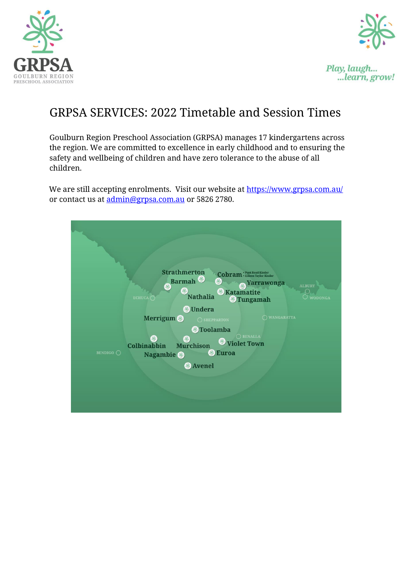



Play, laugh... ...learn, grow!

# GRPSA SERVICES: 2022 Timetable and Session Times

Goulburn Region Preschool Association (GRPSA) manages 17 kindergartens across the region. We are committed to excellence in early childhood and to ensuring the safety and wellbeing of children and have zero tolerance to the abuse of all children.

We are still accepting enrolments. Visit our website at<https://www.grpsa.com.au/> or contact us at admin@grpsa.com.au or 5826 2780.

|                  | <b>Strathmerton</b><br><b>Barmah</b><br>6<br><b>Nathalia</b><br>ECHUCA $\cap$<br><b>J</b> Undera                                                             | <b>Cobram</b> : Punt Road Kinder<br><b>Yarrawonga</b><br>家<br><b>ALBURY</b><br><b><i>&amp;</i></b> Katamatite<br><b>WODONGA</b><br><b>S</b> Tungamah |
|------------------|--------------------------------------------------------------------------------------------------------------------------------------------------------------|------------------------------------------------------------------------------------------------------------------------------------------------------|
| <b>BENDIGO</b> O | <b>Merrigum</b><br>$\bigcirc$ SHEPPARTON<br><b>S</b> Toolamba<br><b>Murchison</b><br><b>Colbinabbin</b><br>第<br>Nagambie <sup>®</sup><br><b>&amp;</b> Avenel | O WANGARATTA<br>$\bigcirc$ BENALLA<br><b>S</b> Violet Town<br><b>Euroa</b>                                                                           |
|                  |                                                                                                                                                              |                                                                                                                                                      |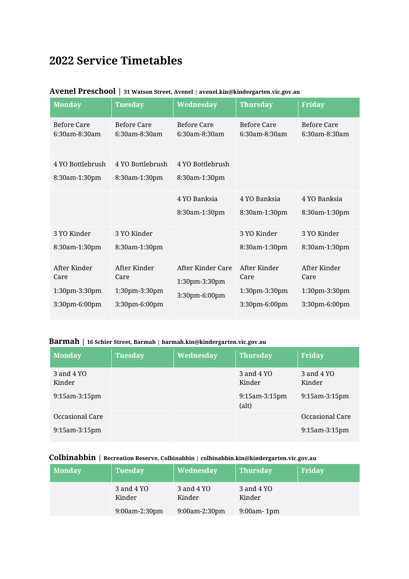# **2022 Service Timetables**

| <b>Monday</b>                                          | <b>Tuesday</b>                                         | <b>Wednesday</b>                                    | <b>Thursday</b>                                        | <b>Friday</b>                                          |
|--------------------------------------------------------|--------------------------------------------------------|-----------------------------------------------------|--------------------------------------------------------|--------------------------------------------------------|
| <b>Before Care</b><br>6:30am-8:30am                    | <b>Before Care</b><br>6:30am-8:30am                    | <b>Before Care</b><br>6:30am-8:30am                 | <b>Before Care</b><br>6:30am-8:30am                    | <b>Before Care</b><br>6:30am-8:30am                    |
| 4 YO Bottlebrush<br>8:30am-1:30pm                      | 4 YO Bottlebrush<br>8:30am-1:30pm                      | 4 YO Bottlebrush<br>8:30am-1:30pm                   |                                                        |                                                        |
|                                                        |                                                        | 4 YO Banksia<br>8:30am-1:30pm                       | 4 YO Banksia<br>8:30am-1:30pm                          | 4 YO Banksia<br>8:30am-1:30pm                          |
| 3 YO Kinder<br>8:30am-1:30pm                           | 3 YO Kinder<br>8:30am-1:30pm                           |                                                     | 3 YO Kinder<br>8:30am-1:30pm                           | 3 YO Kinder<br>8:30am-1:30pm                           |
| After Kinder<br>Care<br>1:30pm-3:30pm<br>3:30pm-6:00pm | After Kinder<br>Care<br>1:30pm-3:30pm<br>3:30pm-6:00pm | After Kinder Care<br>1:30pm-3:30pm<br>3:30pm-6:00pm | After Kinder<br>Care<br>1:30pm-3:30pm<br>3:30pm-6:00pm | After Kinder<br>Care<br>1:30pm-3:30pm<br>3:30pm-6:00pm |

### **Avenel Preschool | 31 Watson Street, Avenel | avenel.kin@kindergarten.vic.gov.au**

### **Barmah | 16 Schier Street, Barmah | barmah.kin@kindergarten.vic.gov.au**

| <b>Monday</b>        | <b>Tuesday</b> | Wednesday | <b>Thursday</b>        | Friday               |
|----------------------|----------------|-----------|------------------------|----------------------|
| 3 and 4 YO<br>Kinder |                |           | 3 and 4 YO<br>Kinder   | 3 and 4 YO<br>Kinder |
| $9:15$ am- $3:15$ pm |                |           | 9:15am-3:15pm<br>(alt) | $9:15$ am- $3:15$ pm |
| Occasional Care      |                |           |                        | Occasional Care      |
| $9:15$ am $-3:15$ pm |                |           |                        | $9:15$ am- $3:15$ pm |

### **Colbinabbin | Recreation Reserve, Colbinabbin | colbinabbin.kin@kindergarten.vic.gov.au**

| <b>Monday</b> | <b>Tuesday</b>       | Wednesday            | <b>Thursday</b>      | Friday |
|---------------|----------------------|----------------------|----------------------|--------|
|               | 3 and 4 YO<br>Kinder | 3 and 4 YO<br>Kinder | 3 and 4 YO<br>Kinder |        |
|               | $9:00$ am-2:30pm     | $9:00$ am-2:30pm     | $9:00$ am- $1$ pm    |        |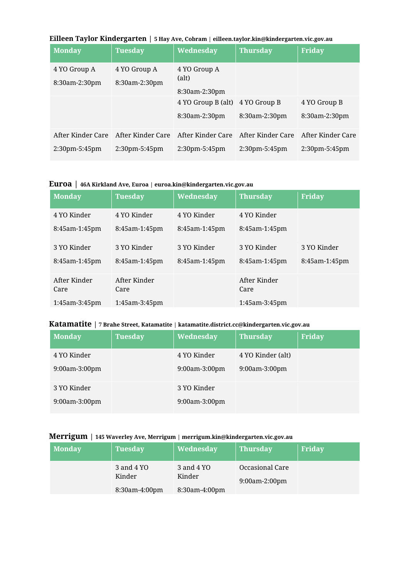|  |  | Eilleen Taylor Kindergarten   5 Hay Ave, Cobram   eilleen.taylor.kin@kindergarten.vic.gov.au |  |
|--|--|----------------------------------------------------------------------------------------------|--|
|--|--|----------------------------------------------------------------------------------------------|--|

| <b>Monday</b>     | Tuesday           | Wednesday                       | <b>Thursday</b>   | <b>Friday</b>     |
|-------------------|-------------------|---------------------------------|-------------------|-------------------|
| 4 YO Group A      | 4 YO Group A      | 4 YO Group A                    |                   |                   |
| 8:30am-2:30pm     | 8:30am-2:30pm     | (alt)                           |                   |                   |
|                   |                   | $8:30$ am-2:30pm                |                   |                   |
|                   |                   | 4 YO Group B (alt) 4 YO Group B |                   | 4 YO Group B      |
|                   |                   | 8:30am-2:30pm                   | 8:30am-2:30pm     | 8:30am-2:30pm     |
| After Kinder Care | After Kinder Care | After Kinder Care               | After Kinder Care | After Kinder Care |
| $2:30$ pm-5:45pm  | $2:30$ pm-5:45pm  | $2:30$ pm-5:45pm                | $2:30$ pm-5:45pm  | $2:30$ pm-5:45pm  |

#### **Euroa | 46A Kirkland Ave, Euroa | euroa.kin@kindergarten.vic.gov.au**

| <b>Monday</b>        | <b>Tuesday</b>       | Wednesday     | <b>Thursday</b>      | <b>Friday</b> |
|----------------------|----------------------|---------------|----------------------|---------------|
| 4 YO Kinder          | 4 YO Kinder          | 4 YO Kinder   | 4 YO Kinder          |               |
| 8:45am-1:45pm        | 8:45am-1:45pm        | 8:45am-1:45pm | 8:45am-1:45pm        |               |
| 3 YO Kinder          | 3 YO Kinder          | 3 YO Kinder   | 3 YO Kinder          | 3 YO Kinder   |
| 8:45am-1:45pm        | 8:45am-1:45pm        | 8:45am-1:45pm | 8:45am-1:45pm        | 8:45am-1:45pm |
| After Kinder<br>Care | After Kinder<br>Care |               | After Kinder<br>Care |               |
| $1:45$ am- $3:45$ pm | 1:45am-3:45pm        |               | 1:45am-3:45pm        |               |

## **Katamatite | 7 Brahe Street, Katamatite | katamatite.district.cc@kindergarten.vic.gov.au**

| <b>Monday</b> | <b>Tuesday</b> | Wednesday     | <b>Thursday</b>   | Friday |
|---------------|----------------|---------------|-------------------|--------|
| 4 YO Kinder   |                | 4 YO Kinder   | 4 YO Kinder (alt) |        |
| 9:00am-3:00pm |                | 9:00am-3:00pm | 9:00am-3:00pm     |        |
| 3 YO Kinder   |                | 3 YO Kinder   |                   |        |
| 9:00am-3:00pm |                | 9:00am-3:00pm |                   |        |

### **Merrigum | 145 Waverley Ave, Merrigum | merrigum.kin@kindergarten.vic.gov.au**

| <b>Monday</b> | <b>Tuesday</b>       | Wednesday            | <b>Thursday</b>                     | Friday |
|---------------|----------------------|----------------------|-------------------------------------|--------|
|               | 3 and 4 YO<br>Kinder | 3 and 4 YO<br>Kinder | Occasional Care<br>$9:00$ am-2:00pm |        |
|               | 8:30am-4:00pm        | 8:30am-4:00pm        |                                     |        |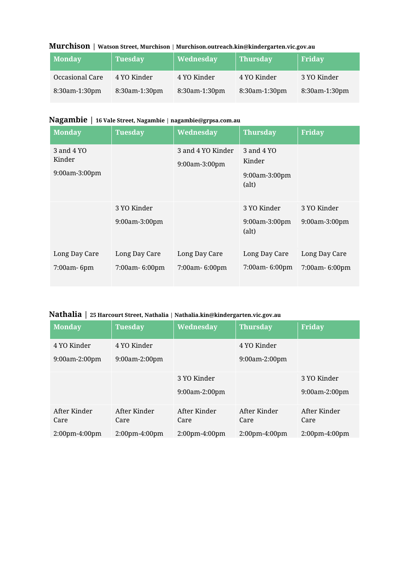|  | Murchison   Watson Street, Murchison   Murchison.outreach.kin@kindergarten.vic.gov.au |  |
|--|---------------------------------------------------------------------------------------|--|
|--|---------------------------------------------------------------------------------------|--|

| <b>Monday</b>   | <b>Tuesday</b> | Wednesday     | <b>Thursday</b> | <b>Friday</b>    |
|-----------------|----------------|---------------|-----------------|------------------|
| Occasional Care | 4 YO Kinder    | 4 YO Kinder   | 4 YO Kinder     | 3 YO Kinder      |
| 8:30am-1:30pm   | 8:30am-1:30pm  | 8:30am-1:30pm | 8:30am-1:30pm   | $8:30$ am-1:30pm |

## **Nagambie | 16 Vale Street, Nagambie | nagambie@grpsa.com.au**

| <b>Monday</b>                                | <b>Tuesday</b>                  | Wednesday                          | <b>Thursday</b>                                       | <b>Friday</b>                   |
|----------------------------------------------|---------------------------------|------------------------------------|-------------------------------------------------------|---------------------------------|
| 3 and 4 YO<br>Kinder<br>$9:00$ am- $3:00$ pm |                                 | 3 and 4 YO Kinder<br>9:00am-3:00pm | 3 and 4 YO<br>Kinder<br>$9:00$ am- $3:00$ pm<br>(alt) |                                 |
|                                              | 3 YO Kinder<br>9:00am-3:00pm    |                                    | 3 YO Kinder<br>9:00am-3:00pm<br>(alt)                 | 3 YO Kinder<br>9:00am-3:00pm    |
| Long Day Care<br>7:00am-6pm                  | Long Day Care<br>7:00am- 6:00pm | Long Day Care<br>7:00am- 6:00pm    | Long Day Care<br>7:00am-6:00pm                        | Long Day Care<br>7:00am- 6:00pm |

## **Nathalia | 25 Harcourt Street, Nathalia | Nathalia.kin@kindergarten.vic.gov.au**

| <b>Monday</b>                            | <b>Tuesday</b>                           | Wednesday                                | <b>Thursday</b>                          | Friday                                   |
|------------------------------------------|------------------------------------------|------------------------------------------|------------------------------------------|------------------------------------------|
| 4 YO Kinder<br>$9:00am-2:00pm$           | 4 YO Kinder<br>$9:00$ am-2:00pm          |                                          | 4 YO Kinder<br>$9:00$ am-2:00pm          |                                          |
|                                          |                                          | 3 YO Kinder<br>$9:00$ am-2:00pm          |                                          | 3 YO Kinder<br>$9:00$ am-2:00pm          |
| After Kinder<br>Care<br>$2:00$ pm-4:00pm | After Kinder<br>Care<br>$2:00$ pm-4:00pm | After Kinder<br>Care<br>$2:00$ pm-4:00pm | After Kinder<br>Care<br>$2:00$ pm-4:00pm | After Kinder<br>Care<br>$2:00$ pm-4:00pm |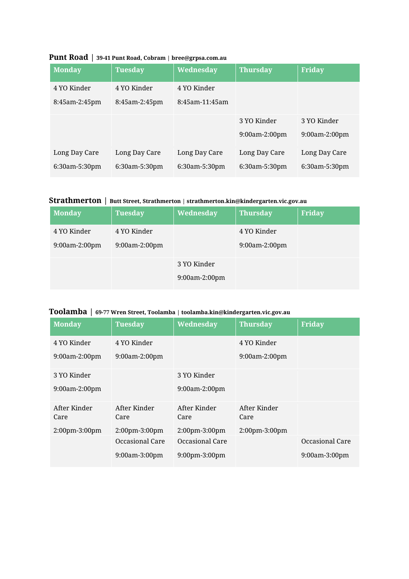| <b>Monday</b> | <b>Tuesday</b> | Wednesday      | <b>Thursday</b> | <b>Friday</b>    |
|---------------|----------------|----------------|-----------------|------------------|
| 4 YO Kinder   | 4 YO Kinder    | 4 YO Kinder    |                 |                  |
| 8:45am-2:45pm | 8:45am-2:45pm  | 8:45am-11:45am |                 |                  |
|               |                |                | 3 YO Kinder     | 3 YO Kinder      |
|               |                |                | $9:00am-2:00pm$ | $9:00am-2:00pm$  |
| Long Day Care | Long Day Care  | Long Day Care  | Long Day Care   | Long Day Care    |
| 6:30am-5:30pm | 6:30am-5:30pm  | 6:30am-5:30pm  | 6:30am-5:30pm   | $6:30$ am-5:30pm |

### **Punt Road | 39-41 Punt Road, Cobram | bree@grpsa.com.au**

## **Strathmerton | Butt Street, Strathmerton | strathmerton.kin@kindergarten.vic.gov.au**

| <b>Monday</b>   | <b>Tuesday</b> | Wednesday     | <b>Thursday</b> | Friday |
|-----------------|----------------|---------------|-----------------|--------|
| 4 YO Kinder     | 4 YO Kinder    |               | 4 YO Kinder     |        |
| $9:00am-2:00pm$ | 9:00am-2:00pm  |               | 9:00am-2:00pm   |        |
|                 |                | 3 YO Kinder   |                 |        |
|                 |                | 9:00am-2:00pm |                 |        |

### **Toolamba | 69-77 Wren Street, Toolamba | toolamba.kin@kindergarten.vic.gov.au**

| <b>Monday</b>        | <b>Tuesday</b>       | Wednesday            | <b>Thursday</b>      | Friday               |
|----------------------|----------------------|----------------------|----------------------|----------------------|
| 4 YO Kinder          | 4 YO Kinder          |                      | 4 YO Kinder          |                      |
| 9:00am-2:00pm        | 9:00am-2:00pm        |                      | 9:00am-2:00pm        |                      |
| 3 YO Kinder          |                      | 3 YO Kinder          |                      |                      |
| 9:00am-2:00pm        |                      | $9:00$ am-2:00pm     |                      |                      |
| After Kinder<br>Care | After Kinder<br>Care | After Kinder<br>Care | After Kinder<br>Care |                      |
| 2:00pm-3:00pm        | 2:00pm-3:00pm        | 2:00pm-3:00pm        | 2:00pm-3:00pm        |                      |
|                      | Occasional Care      | Occasional Care      |                      | Occasional Care      |
|                      | $9:00am-3:00pm$      | $9:00$ pm $-3:00$ pm |                      | $9:00$ am- $3:00$ pm |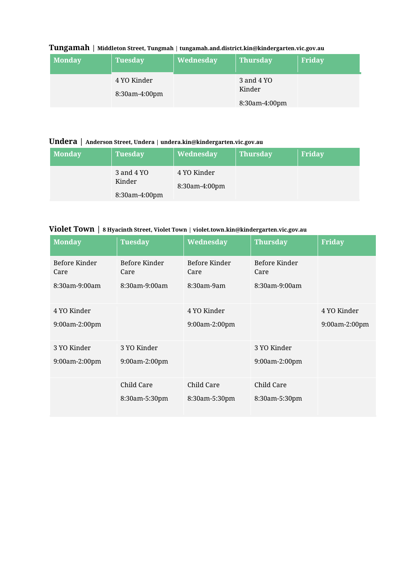### **Tungamah | Middleton Street, Tungmah | tungamah.and.district.kin@kindergarten.vic.gov.au**

| <b>Monday</b> | <b>Tuesday</b>               | Wednesday | <b>Thursday</b>      | Friday |
|---------------|------------------------------|-----------|----------------------|--------|
|               | 4 YO Kinder<br>8:30am-4:00pm |           | 3 and 4 YO<br>Kinder |        |
|               |                              |           | 8:30am-4:00pm        |        |

### **Undera | Anderson Street, Undera | undera.kin@kindergarten.vic.gov.au**

| <b>Monday</b> | <b>Tuesday</b>       | Wednesday                    | <b>Thursday</b> | Friday |
|---------------|----------------------|------------------------------|-----------------|--------|
|               | 3 and 4 YO<br>Kinder | 4 YO Kinder<br>8:30am-4:00pm |                 |        |
|               | 8:30am-4:00pm        |                              |                 |        |

### **Violet Town | 8 Hyacinth Street, Violet Town | violet.town.kin@kindergarten.vic.gov.au**

| <b>Monday</b>         | <b>Tuesday</b>        | Wednesday             | <b>Thursday</b>       | <b>Friday</b> |
|-----------------------|-----------------------|-----------------------|-----------------------|---------------|
| Before Kinder<br>Care | Before Kinder<br>Care | Before Kinder<br>Care | Before Kinder<br>Care |               |
| $8:30$ am-9:00am      | $8:30$ am-9:00am      | $8:30$ am-9am         | $8:30$ am-9:00am      |               |
| 4 YO Kinder           |                       | 4 YO Kinder           |                       | 4 YO Kinder   |
| 9:00am-2:00pm         |                       | 9:00am-2:00pm         |                       | 9:00am-2:00pm |
| 3 YO Kinder           | 3 YO Kinder           |                       | 3 YO Kinder           |               |
| 9:00am-2:00pm         | 9:00am-2:00pm         |                       | 9:00am-2:00pm         |               |
|                       | Child Care            | Child Care            | Child Care            |               |
|                       | 8:30am-5:30pm         | 8:30am-5:30pm         | 8:30am-5:30pm         |               |